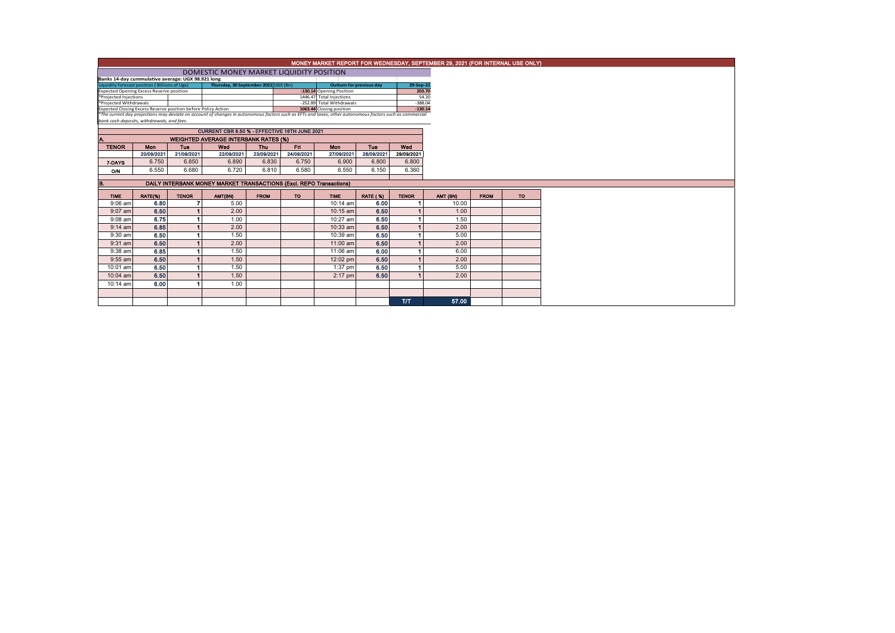| MONEY MARKET REPORT FOR WEDNESDAY, SEPTEMBER 29, 2021 (FOR INTERNAL USE ONLY)                                                                            |                                          |              |                                                                     |             |            |             |                 |              |           |             |           |  |  |
|----------------------------------------------------------------------------------------------------------------------------------------------------------|------------------------------------------|--------------|---------------------------------------------------------------------|-------------|------------|-------------|-----------------|--------------|-----------|-------------|-----------|--|--|
|                                                                                                                                                          | DOMESTIC MONEY MARKET LIQUIDITY POSITION |              |                                                                     |             |            |             |                 |              |           |             |           |  |  |
| Banks 14-day cummulative average: UGX 98.921 long                                                                                                        |                                          |              |                                                                     |             |            |             |                 |              |           |             |           |  |  |
| Liquidity forecast position (Billions of Ugx)                                                                                                            |                                          |              | 29-Sep-21                                                           |             |            |             |                 |              |           |             |           |  |  |
| <b>Expected Opening Excess Reserve position</b>                                                                                                          |                                          |              | 203.70                                                              |             |            |             |                 |              |           |             |           |  |  |
| *Projected Injections                                                                                                                                    |                                          |              | $-388.04$                                                           | 54.20       |            |             |                 |              |           |             |           |  |  |
| *Projected Withdrawals<br>-252.89 Total Withdrawals<br>Expected Closing Excess Reserve position before Policy Action<br>1063.44 Closing position         |                                          |              |                                                                     |             |            |             |                 |              | $-130.14$ |             |           |  |  |
| *The current day projections may deviate on account of changes in autonomous factors such as EFTs and taxes; other autonomous factors such as commercial |                                          |              |                                                                     |             |            |             |                 |              |           |             |           |  |  |
| bank cash deposits, withdrawals, and fees.                                                                                                               |                                          |              |                                                                     |             |            |             |                 |              |           |             |           |  |  |
|                                                                                                                                                          |                                          |              | CURRENT CBR 6.50 % - EFFECTIVE 16TH JUNE 2021                       |             |            |             |                 |              |           |             |           |  |  |
|                                                                                                                                                          |                                          |              | <b>WEIGHTED AVERAGE INTERBANK RATES (%)</b>                         |             |            |             |                 |              |           |             |           |  |  |
| <b>TENOR</b>                                                                                                                                             | Mon                                      | Tue          | Wed                                                                 | Thu         | Fri.       | Mon         | Tue             | Wed          |           |             |           |  |  |
|                                                                                                                                                          | 20/09/2021                               | 21/09/2021   | 22/09/2021                                                          | 23/09/2021  | 24/09/2021 | 27/09/2021  | 28/09/2021      | 29/09/2021   |           |             |           |  |  |
| 7-DAYS                                                                                                                                                   | 6.750                                    | 6.850        | 6.890                                                               | 6.830       | 6.750      | 6.900       | 6.800           | 6.800        |           |             |           |  |  |
| O/N                                                                                                                                                      | 6.550                                    | 6.680        | 6.720                                                               | 6.810       | 6.580      | 6.550       | 6.150           | 6.360        |           |             |           |  |  |
|                                                                                                                                                          |                                          |              |                                                                     |             |            |             |                 |              |           |             |           |  |  |
| В.                                                                                                                                                       |                                          |              | DAILY INTERBANK MONEY MARKET TRANSACTIONS (Excl. REPO Transactions) |             |            |             |                 |              |           |             |           |  |  |
| <b>TIME</b>                                                                                                                                              | RATE(%)                                  | <b>TENOR</b> | AMT(BN)                                                             | <b>FROM</b> | <b>TO</b>  | <b>TIME</b> | <b>RATE (%)</b> | <b>TENOR</b> | AMT (BN)  | <b>FROM</b> | <b>TO</b> |  |  |
| $9:06$ am                                                                                                                                                | 6.80                                     |              | 5.00                                                                |             |            | 10:14 am    | 6.00            |              | 10.00     |             |           |  |  |
| $9:07$ am                                                                                                                                                | 6.50                                     |              | 2.00                                                                |             |            | $10:15$ am  | 6.50            |              | 1.00      |             |           |  |  |
| $9:08$ am                                                                                                                                                | 6.75                                     |              | 1.00                                                                |             |            | 10:27 am    | 6.50            |              | 1.50      |             |           |  |  |
| $9:14$ am                                                                                                                                                | 6.85                                     |              | 2.00                                                                |             |            | $10:33$ am  | 6.50            |              | 2.00      |             |           |  |  |
| $9:30$ am                                                                                                                                                | 6.50                                     |              | 1.50                                                                |             |            | 10:39 am    | 6.50            |              | 5.00      |             |           |  |  |
| $9:31$ am                                                                                                                                                | 6.50                                     |              | 2.00                                                                |             |            | 11:00 am    | 6.50            |              | 2.00      |             |           |  |  |
| $9:38$ am                                                                                                                                                | 6.85                                     |              | 1.50                                                                |             |            | 11:06 am    | 6.00            |              | 6.00      |             |           |  |  |
| $9:55$ am                                                                                                                                                | 6.50                                     |              | 1.50                                                                |             |            | 12:02 pm    | 6.50            |              | 2.00      |             |           |  |  |
| 10:01 am                                                                                                                                                 | 6.50                                     |              | 1.50                                                                |             |            | $1:37$ pm   | 6.50            |              | 5.00      |             |           |  |  |
| 10:04 am                                                                                                                                                 | 6.50                                     |              | 1.50                                                                |             |            | $2:17$ pm   | 6.50            |              | 2.00      |             |           |  |  |
| 10:14 am                                                                                                                                                 | 6.00                                     |              | 1.00                                                                |             |            |             |                 |              |           |             |           |  |  |
|                                                                                                                                                          |                                          |              |                                                                     |             |            |             |                 |              |           |             |           |  |  |
|                                                                                                                                                          |                                          |              |                                                                     |             |            |             |                 | <b>ТЛТ</b>   | 57.00     |             |           |  |  |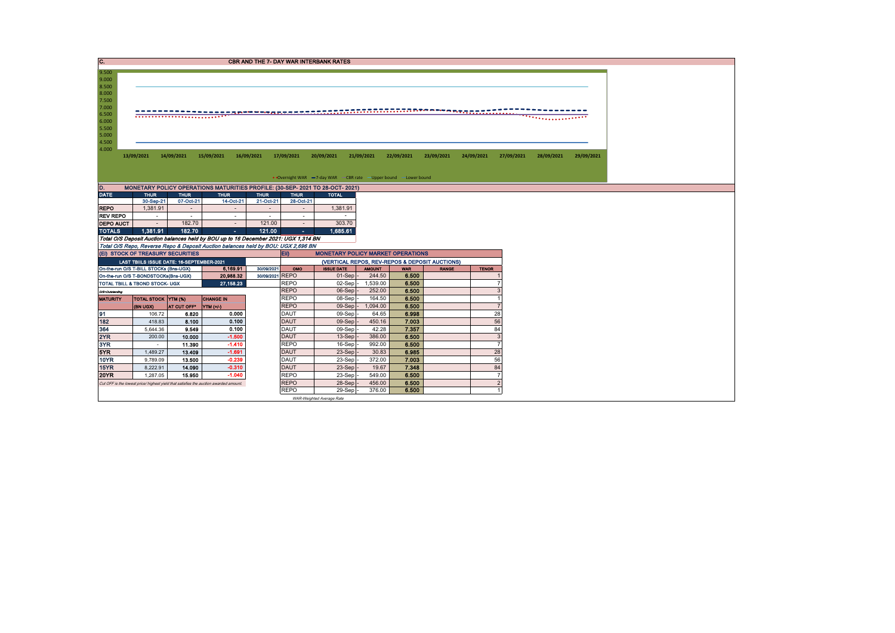| C.                                                                                                                                                                                                                                                                                                                                                                                                                          | <b>CBR AND THE 7- DAY WAR INTERBANK RATES</b> |                                           |                                                                                       |                          |                            |                                          |                 |                |                                                |              |                          |  |  |
|-----------------------------------------------------------------------------------------------------------------------------------------------------------------------------------------------------------------------------------------------------------------------------------------------------------------------------------------------------------------------------------------------------------------------------|-----------------------------------------------|-------------------------------------------|---------------------------------------------------------------------------------------|--------------------------|----------------------------|------------------------------------------|-----------------|----------------|------------------------------------------------|--------------|--------------------------|--|--|
| 9.500<br>9.000<br>8.500<br>8.000<br>7.500<br>7.000<br>-------------------<br>3 MEE EEA BERREER<br>6.500<br>. <u>.</u><br>6.000<br>5.500<br>5.000<br>4.500<br>4.000<br>13/09/2021<br>14/09/2021<br>15/09/2021<br>16/09/2021<br>17/09/2021<br>20/09/2021<br>21/09/2021<br>22/09/2021<br>23/09/2021<br>24/09/2021<br>27/09/2021<br>29/09/2021<br>28/09/2021<br>• Overnight WAR -7-day WAR - CBR rate -Upper bound -Lower bound |                                               |                                           |                                                                                       |                          |                            |                                          |                 |                |                                                |              |                          |  |  |
| D.                                                                                                                                                                                                                                                                                                                                                                                                                          |                                               |                                           | MONETARY POLICY OPERATIONS MATURITIES PROFILE: (30-SEP- 2021 TO 28-OCT- 2021)         |                          |                            |                                          |                 |                |                                                |              |                          |  |  |
| <b>DATE</b>                                                                                                                                                                                                                                                                                                                                                                                                                 | <b>THUR</b>                                   | <b>THUR</b>                               | <b>THUR</b>                                                                           | <b>THUR</b>              | <b>THUR</b>                | <b>TOTAL</b>                             |                 |                |                                                |              |                          |  |  |
|                                                                                                                                                                                                                                                                                                                                                                                                                             | 30-Sep-21                                     | 07-Oct-21                                 | 14-Oct-21                                                                             | 21-Oct-21                | 28-Oct-21                  |                                          |                 |                |                                                |              |                          |  |  |
| <b>REPO</b>                                                                                                                                                                                                                                                                                                                                                                                                                 | 1,381.91                                      | $\sim$                                    | $\sim$                                                                                | $\overline{\phantom{a}}$ | $\sim$                     | 1,381.91                                 |                 |                |                                                |              |                          |  |  |
| <b>REV REPO</b>                                                                                                                                                                                                                                                                                                                                                                                                             | $\sim$                                        | $\sim$                                    | $\sim$                                                                                | $\sim$                   | $\sim$                     | $\sim$                                   |                 |                |                                                |              |                          |  |  |
| <b>DEPO AUCT</b>                                                                                                                                                                                                                                                                                                                                                                                                            | $\sim$                                        | 182.70                                    | $\sim$                                                                                | 121.00                   | $\overline{\phantom{a}}$   | 303.70                                   |                 |                |                                                |              |                          |  |  |
| <b>TOTALS</b>                                                                                                                                                                                                                                                                                                                                                                                                               | 1.381.91                                      | 182.70                                    | $\sim$                                                                                | 121.00                   | $\sim$                     | 1.685.61                                 |                 |                |                                                |              |                          |  |  |
|                                                                                                                                                                                                                                                                                                                                                                                                                             |                                               |                                           | Total O/S Deposit Auction balances held by BOU up to 16 December 2021: UGX 1,314 BN   |                          |                            |                                          |                 |                |                                                |              |                          |  |  |
|                                                                                                                                                                                                                                                                                                                                                                                                                             |                                               |                                           | Total O/S Repo, Reverse Repo & Deposit Auction balances held by BOU: UGX 2,696 BN     |                          |                            |                                          |                 |                |                                                |              |                          |  |  |
| (EI) STOCK OF TREASURY SECURITIES                                                                                                                                                                                                                                                                                                                                                                                           |                                               |                                           |                                                                                       |                          | EII)                       | <b>MONETARY POLICY MARKET OPERATIONS</b> |                 |                |                                                |              |                          |  |  |
|                                                                                                                                                                                                                                                                                                                                                                                                                             |                                               | LAST TBIILS ISSUE DATE: 16-SEPTEMBER-2021 |                                                                                       |                          |                            |                                          |                 |                | (VERTICAL REPOS, REV-REPOS & DEPOSIT AUCTIONS) |              |                          |  |  |
| On-the-run O/S T-BILL STOCKs (Bns-UGX)                                                                                                                                                                                                                                                                                                                                                                                      |                                               |                                           | 6,169.91                                                                              | 30/09/2021               | OMO                        | <b>ISSUE DATE</b>                        | <b>AMOUNT</b>   | <b>WAR</b>     | <b>RANGE</b>                                   | <b>TENOR</b> |                          |  |  |
| On-the-run O/S T-BONDSTOCKs(Bns-UGX)                                                                                                                                                                                                                                                                                                                                                                                        |                                               |                                           | 20.988.32                                                                             | 30/09/2021 REPO          |                            | $01-Sep$                                 | 244.50          | 6.500          |                                                |              |                          |  |  |
| TOTAL TBILL & TBOND STOCK- UGX                                                                                                                                                                                                                                                                                                                                                                                              |                                               |                                           | 27, 158.23                                                                            |                          | <b>REPO</b>                | $02-Sep$ -                               | 1,539.00        | 6.500          |                                                |              |                          |  |  |
| O/S-Outstanding                                                                                                                                                                                                                                                                                                                                                                                                             |                                               |                                           |                                                                                       |                          | <b>REPO</b>                | 06-Sep                                   | 252.00          | 6.500          |                                                |              |                          |  |  |
| <b>MATURITY</b>                                                                                                                                                                                                                                                                                                                                                                                                             | <b>TOTAL STOCK YTM (%)</b>                    |                                           | <b>CHANGE IN</b>                                                                      |                          | <b>REPO</b>                | 08-Sep                                   | 164.50          | 6.500          |                                                |              |                          |  |  |
|                                                                                                                                                                                                                                                                                                                                                                                                                             | <b>(BN UGX)</b>                               | AT CUT OFF*                               | <b>YTM</b> (+/-)                                                                      |                          | <b>REPO</b>                | 09-Sep                                   | 1,094.00        | 6.500          |                                                |              |                          |  |  |
| 91                                                                                                                                                                                                                                                                                                                                                                                                                          | 106.72                                        | 6.820                                     | 0.000                                                                                 |                          | <b>DAUT</b>                | 09-Sep                                   | 64.65           | 6.998          |                                                |              | 28                       |  |  |
| 182                                                                                                                                                                                                                                                                                                                                                                                                                         | 418.83                                        | 8.100                                     | 0.100                                                                                 |                          | <b>DAUT</b>                | 09-Sep                                   | 450.16          | 7.003          |                                                |              | 56                       |  |  |
| 364                                                                                                                                                                                                                                                                                                                                                                                                                         | 5,644.36                                      | 9.549                                     | 0.100<br>$-1.500$                                                                     |                          | <b>DAUT</b><br><b>DAUT</b> | 09-Sep                                   | 42.28<br>386.00 | 7.357          |                                                |              | 84<br>3                  |  |  |
| 2YR<br>3YR                                                                                                                                                                                                                                                                                                                                                                                                                  | 200.00                                        | 10.000                                    |                                                                                       |                          |                            | 13-Sep                                   |                 | 6.500          |                                                |              | $\overline{7}$           |  |  |
| 5YR                                                                                                                                                                                                                                                                                                                                                                                                                         | $\sim$                                        | 11.390                                    | $-1.410$<br>$-1.691$                                                                  |                          | <b>REPO</b><br><b>DAUT</b> | 16-Sep                                   | 992.00          | 6.500<br>6.985 |                                                |              |                          |  |  |
| <b>10YR</b>                                                                                                                                                                                                                                                                                                                                                                                                                 | 1,489.27                                      | 13 4 09<br>13.500                         | $-0.239$                                                                              |                          | <b>DAUT</b>                | 23-Sep<br>23-Sep                         | 30.83<br>372.00 | 7.003          |                                                |              | 28<br>56                 |  |  |
| 15YR                                                                                                                                                                                                                                                                                                                                                                                                                        | 9,789.09<br>8.222.91                          | 14.090                                    | $-0.310$                                                                              |                          | <b>DAUT</b>                | 23-Sep                                   | 19.67           | 7.348          |                                                |              | 84                       |  |  |
| <b>20YR</b>                                                                                                                                                                                                                                                                                                                                                                                                                 | 1,287.05                                      | 15.950                                    | $-1.040$                                                                              |                          | <b>REPO</b>                | 23-Sep                                   | 549.00          | 6.500          |                                                |              |                          |  |  |
|                                                                                                                                                                                                                                                                                                                                                                                                                             |                                               |                                           |                                                                                       |                          |                            |                                          |                 |                |                                                |              | $\overline{\phantom{0}}$ |  |  |
|                                                                                                                                                                                                                                                                                                                                                                                                                             |                                               |                                           | Cut OFF is the lowest price/ highest yield that satisfies the auction awarded amount. |                          | <b>REPO</b>                | 28-Sep                                   | 456.00          | 6.500          |                                                |              |                          |  |  |
|                                                                                                                                                                                                                                                                                                                                                                                                                             |                                               |                                           |                                                                                       |                          | <b>REPO</b>                | 29-Sep                                   | 376.00          | 6.500          |                                                |              |                          |  |  |